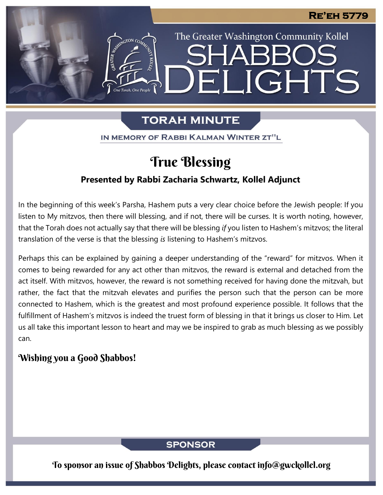The Greater Washington Community Kollel

LIGHTS

# **TORAH MINUTE**

 $|\Xi||$ 

IN MEMORY OF RABBI KALMAN WINTER ZT"L

# True Blessing

## **Presented by Rabbi Zacharia Schwartz, Kollel Adjunct**

In the beginning of this week's Parsha, Hashem puts a very clear choice before the Jewish people: If you listen to My mitzvos, then there will blessing, and if not, there will be curses. It is worth noting, however, that the Torah does not actually say that there will be blessing *if* you listen to Hashem's mitzvos; the literal translation of the verse is that the blessing *is* listening to Hashem's mitzvos.

Perhaps this can be explained by gaining a deeper understanding of the "reward" for mitzvos. When it comes to being rewarded for any act other than mitzvos, the reward is external and detached from the act itself. With mitzvos, however, the reward is not something received for having done the mitzvah, but rather, the fact that the mitzvah elevates and purifies the person such that the person can be more connected to Hashem, which is the greatest and most profound experience possible. It follows that the fulfillment of Hashem's mitzvos is indeed the truest form of blessing in that it brings us closer to Him. Let us all take this important lesson to heart and may we be inspired to grab as much blessing as we possibly can.

# Wishing you a Good Shabbos!

**SPONSOR** 

To sponsor an issue of Shabbos Delights, please contact info@gwckollel.org